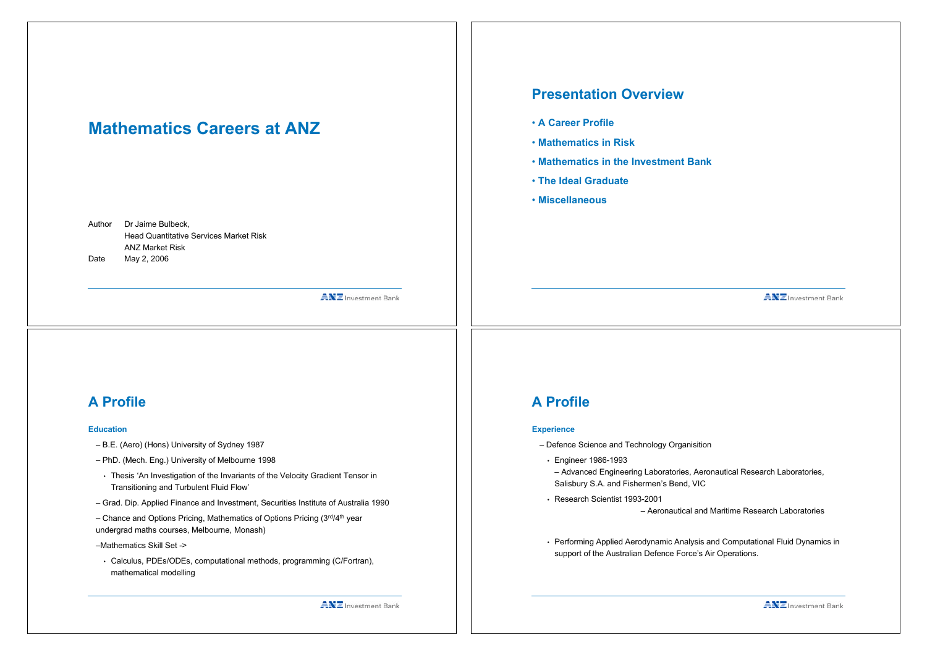# **Mathematics Careers at ANZ**

Author Dr Jaime Bulbeck, Head Quantitative Services Market Risk ANZ Market Risk Date May 2, 2006

**ANZ** Investment Bank

### **A Profile**

#### **Education**

- B.E. (Aero) (Hons) University of Sydney 1987
- PhD. (Mech. Eng.) University of Melbourne 1998
- Thesis 'An Investigation of the Invariants of the Velocity Gradient Tensor in Transitioning and Turbulent Fluid Flow'
- Grad. Dip. Applied Finance and Investment, Securities Institute of Australia 1990
- Chance and Options Pricing, Mathematics of Options Pricing  $(3<sup>rd</sup>/4<sup>th</sup>)$  year undergrad maths courses, Melbourne, Monash)

–Mathematics Skill Set ->

• Calculus, PDEs/ODEs, computational methods, programming (C/Fortran), mathematical modelling

# **Presentation Overview**

- **A Career Profile**
- **Mathematics in Risk**
- **Mathematics in the Investment Bank**
- **The Ideal Graduate**
- **Miscellaneous**

**ANZ** Investment Bank

#### **A Profile**

#### **Experience**

- Defence Science and Technology Organisition
- Engineer 1986-1993
- Advanced Engineering Laboratories, Aeronautical Research Laboratories, Salisbury S.A. and Fishermen's Bend, VIC
- Research Scientist 1993-2001

– Aeronautical and Maritime Research Laboratories

• Performing Applied Aerodynamic Analysis and Computational Fluid Dynamics in support of the Australian Defence Force's Air Operations.

**ANZ** Investment Bank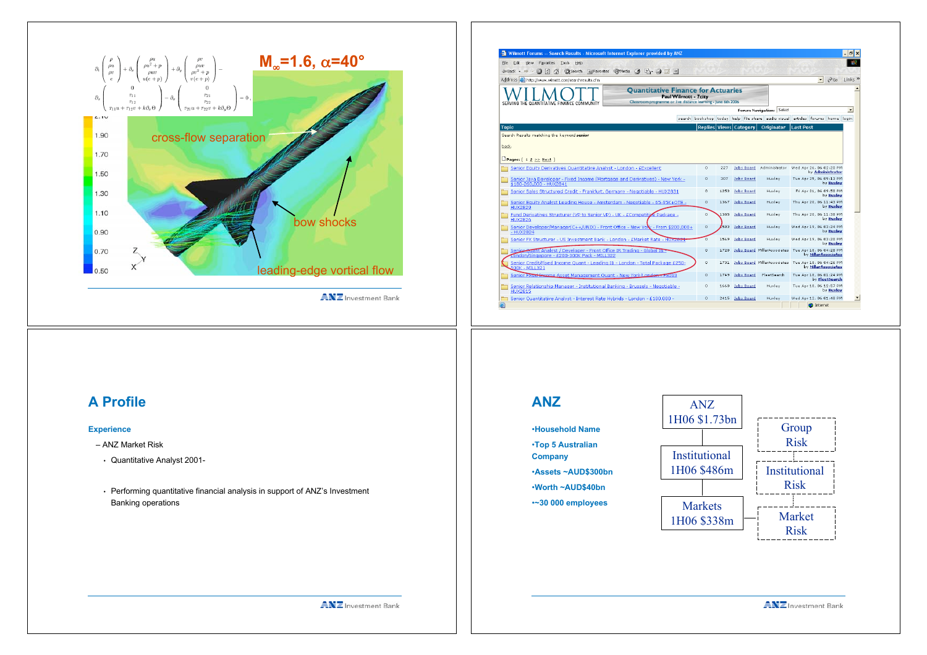

**ANZ** Investment Bank

| View Favorites Tools<br>Help<br>File<br>Frit.                                                                                                                                |                       |                          |      |                                      |                          |                                                                               |                |                          |  |  |  |
|------------------------------------------------------------------------------------------------------------------------------------------------------------------------------|-----------------------|--------------------------|------|--------------------------------------|--------------------------|-------------------------------------------------------------------------------|----------------|--------------------------|--|--|--|
| <b>@Search @Favorites @Media @ B- @ ME</b><br>l 21<br>₩<br>$\Leftrightarrow$ Back $\star$ $\Rightarrow$                                                                      |                       |                          |      |                                      |                          |                                                                               |                |                          |  |  |  |
| Address et http://www.wimott.com/searchresults.cfm                                                                                                                           |                       |                          |      |                                      |                          | $\overline{\phantom{a}}$                                                      | $\approx$ Go   | Links <sup>»</sup>       |  |  |  |
| <b>Ouantitative Finance for Actuaries</b><br>Classroom programme or live distance learning - lune 6th 2006<br>SERVING THE QUANTITATIVE FINANCE COMMUNITY                     | Paul Wilmott - 7 city |                          |      |                                      |                          |                                                                               |                |                          |  |  |  |
|                                                                                                                                                                              |                       |                          |      |                                      | Forum Navigation: Select |                                                                               |                | $\overline{\phantom{a}}$ |  |  |  |
|                                                                                                                                                                              |                       |                          |      |                                      |                          | search bookshop today help file-share audio-visual articles forums home login |                |                          |  |  |  |
| <b>Topic</b>                                                                                                                                                                 |                       |                          |      | Replies Views Category               | Originator               | <b>Last Post</b>                                                              |                |                          |  |  |  |
| Senior Equity Derivatives Quantitative Analyst - London - EExcellent                                                                                                         |                       | $^{\circ}$               | 227  | Jobs Board                           | Administrator            | Wed Apr 26, 06 02:20 PM<br>by Administrator                                   |                |                          |  |  |  |
| back.                                                                                                                                                                        |                       |                          |      |                                      |                          |                                                                               |                |                          |  |  |  |
| Senior Java Developer - Fixed Income (Mortgage and Derivatives) - New York -                                                                                                 |                       | $\bullet$                | 307  | <b>Jobs Board</b>                    | Huxley                   | Tue Apr 25, 06 09:13 PM                                                       |                |                          |  |  |  |
| \$180-260,000 - HUX2841                                                                                                                                                      |                       |                          |      |                                      |                          |                                                                               | by Huxley      |                          |  |  |  |
| Senior Sales Structured Credit - Frankfurt, Germany - Negotiable - HUX2831                                                                                                   |                       | $\circ$                  | 1253 | <b>Jobs Board</b>                    | Huxley                   | Fri Apr 21, 06 09:50 PM                                                       | by Huxley      |                          |  |  |  |
| Senior Equity Analyst Leading House - Amsterdam - Negotiable - 65-95K+OTE -<br><b>HUX2829</b>                                                                                |                       | $^{\circ}$               | 1367 | Jobs Board                           | Huxley                   | Thu Apr 20, 06 11:43 PM                                                       | by Huxley      |                          |  |  |  |
| Fund Derivatives Structurer (VP to Senior VP) - UK - ECompetitive Package -                                                                                                  |                       | $^{\circ}$               | 1385 | Jobs Board                           | Huxley                   | Thu Apr 20, 06 11:38 PM                                                       | by Huxley      |                          |  |  |  |
| <b>HUX2826</b>                                                                                                                                                               |                       | $^{\circ}$               | 2583 | Jobs Board                           | Huxley                   | Wed Apr 19, 06 03:24 PM                                                       | by Huxley      |                          |  |  |  |
| Senior Developer/Manager(C++/UNIX) - Front Office - New You: - From \$200,000+<br>- HUX2824                                                                                  |                       |                          |      |                                      |                          |                                                                               |                |                          |  |  |  |
| Senior FX Structurer - US Investment Bank - London - EMarket Rate - HUX282:                                                                                                  |                       | 'n                       | 1569 | <b>Jobs Board</b>                    | Huxley                   | Wed Apr 19, 06 03:20 PM                                                       | by Huxley      |                          |  |  |  |
| Senior Quant Analyst / Developer - Front Office IR Trading - Global IB -<br>ondon/Singapore - £200-300K Pack - MILL322                                                       |                       | $\circ$                  | 1720 |                                      |                          | Jobs Board MillarAssociates Tue Apr 18, 06 04:28 PM<br>by Millar Associates   |                |                          |  |  |  |
| Senior Credit/Fixed Income Ouant - Leading IB - London - Total Package £250-<br>500K - MILL321                                                                               |                       | $\circ$                  | 1731 |                                      |                          | Jobs Board MillarAssociates Tue Apr 18, 06 04:26 PM<br>by Millar Associates   |                |                          |  |  |  |
| Senior Fixed Income Asset Management Quant - New York/London - 15093                                                                                                         |                       | $\circ$                  | 1749 | <b>Jobs Board</b>                    | FleetSearch              | Tue Apr 18, 06 01:24 PM                                                       | by FleetSearch |                          |  |  |  |
| Senior Relationship Manager - Institutional Banking - Brussels - Negotiable -<br><b>HUX2815</b><br>Senior Ouantitative Analyst - Interest Rate Hybrids - London - £100,000 - |                       | $^{\circ}$<br>$^{\circ}$ | 1660 | <b>Jobs Board</b><br>2415 Jobs Board | Huxley<br>Huxley         | Tue Apr 18, 06 12:57 PM<br>Wed Apr 12, 06 01:48 PM                            | by Huxley      |                          |  |  |  |

**ANZ**

•**Household Name** •**Top 5 Australian Company**

•**Assets ~AUD\$300bn** •**Worth ~AUD\$40bn** •**~30 000 employees**

# **A Profile**

#### **Experience**

- ANZ Market Risk
- Quantitative Analyst 2001-
- Performing quantitative financial analysis in support of ANZ's Investment Banking operations



**ANZ** Investment Bank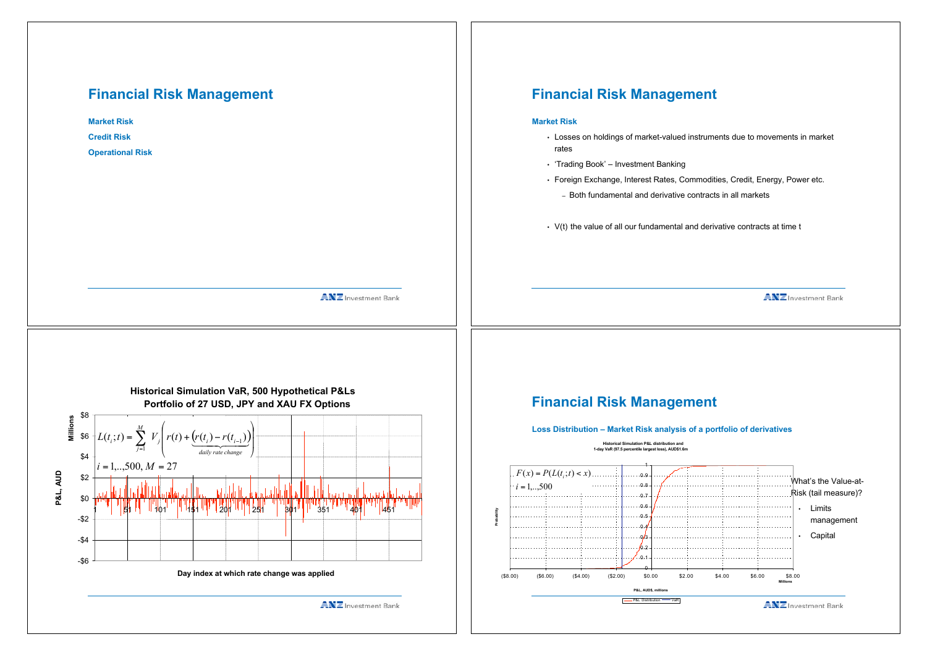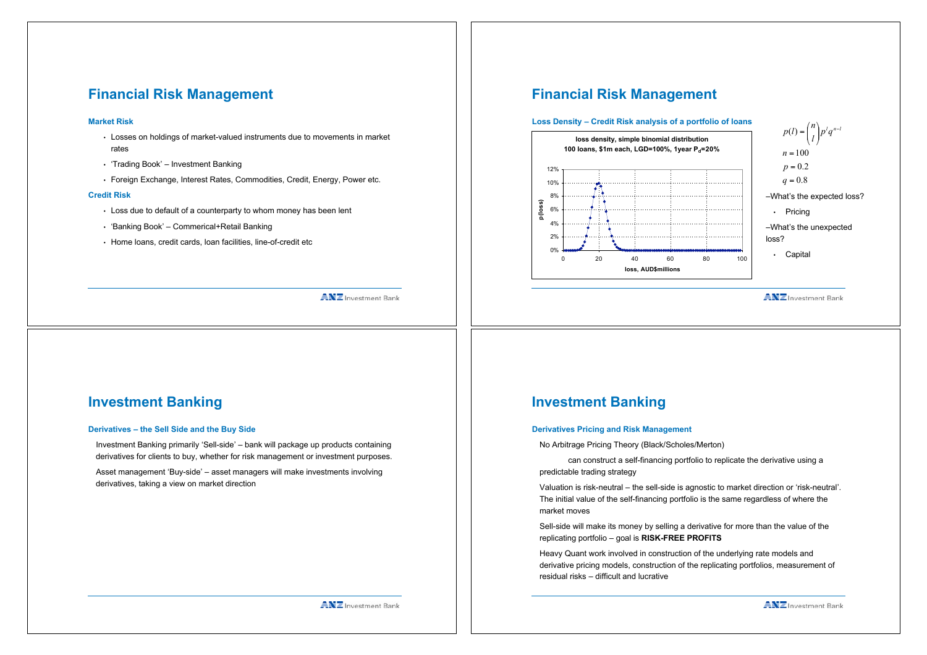# **Financial Risk Management**

#### **Market Risk**

- Losses on holdings of market-valued instruments due to movements in market rates
- 'Trading Book' Investment Banking
- Foreign Exchange, Interest Rates, Commodities, Credit, Energy, Power etc.

#### **Credit Risk**

- Loss due to default of a counterparty to whom money has been lent
- 'Banking Book' Commerical+Retail Banking
- Home loans, credit cards, loan facilities, line-of-credit etc

#### **ANZ** Investment Bank

### **Financial Risk Management**



**ANZ** Investment Bank

" #

### **Investment Banking**

#### **Derivatives – the Sell Side and the Buy Side**

Investment Banking primarily 'Sell-side' – bank will package up products containing derivatives for clients to buy, whether for risk management or investment purposes.

Asset management 'Buy-side' – asset managers will make investments involving derivatives, taking a view on market direction

### **Investment Banking**

#### **Derivatives Pricing and Risk Management**

No Arbitrage Pricing Theory (Black/Scholes/Merton)

can construct a self-financing portfolio to replicate the derivative using a predictable trading strategy

Valuation is risk-neutral – the sell-side is agnostic to market direction or 'risk-neutral'. The initial value of the self-financing portfolio is the same regardless of where the market moves

Sell-side will make its money by selling a derivative for more than the value of the replicating portfolio – goal is **RISK-FREE PROFITS**

Heavy Quant work involved in construction of the underlying rate models and derivative pricing models, construction of the replicating portfolios, measurement of residual risks – difficult and lucrative

**ANZ** Investment Bank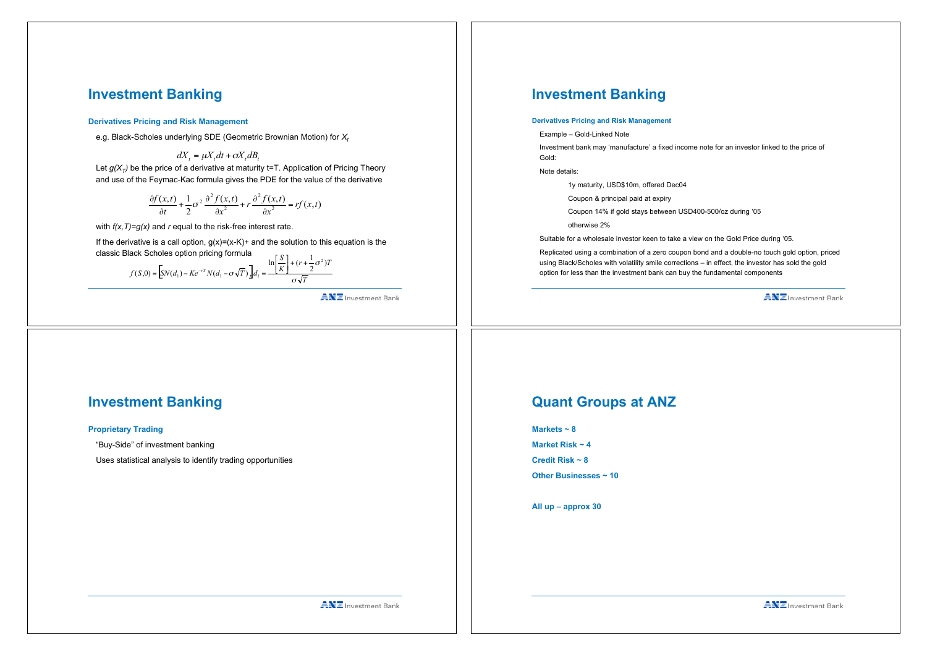# **Investment Banking**

#### **Derivatives Pricing and Risk Management**

e.g. Black-Scholes underlying SDE (Geometric Brownian Motion) for *Xt*

Let  $q(X<sub>T</sub>)$  be the price of a derivative at maturity t=T. Application of Pricing Theory and use of the Feymac-Kac formula gives the PDE for the value of the derivative  $dX_t = \mu X_t dt + \sigma X_t dB_t$ 

$$
\frac{\partial f(x,t)}{\partial t} + \frac{1}{2}\sigma^2 \frac{\partial^2 f(x,t)}{\partial x^2} + r \frac{\partial^2 f(x,t)}{\partial x^2} = rf(x,t)
$$

with *f(x,T)=g(x)* and *r* equal to the risk-free interest rate.

If the derivative is a call option,  $g(x)=(x-K)+$  and the solution to this equation is the classic Black Scholes option pricing formula

$$
f(S,0) = \left[ SN(d_1) - Ke^{-rT}N(d_1 - \sigma\sqrt{T}) \right] d_1 = \frac{\ln\left[\frac{S}{K}\right] + (r + \frac{1}{2}\sigma^2)T}{\sigma\sqrt{T}}
$$

**ANZ** Investment Bank

# **Investment Banking**

#### **Derivatives Pricing and Risk Management**

Example – Gold-Linked Note

Investment bank may 'manufacture' a fixed income note for an investor linked to the price of Gold:

Note details:

1y maturity, USD\$10m, offered Dec04

Coupon & principal paid at expiry

Coupon 14% if gold stays between USD400-500/oz during '05

otherwise 2%

Suitable for a wholesale investor keen to take a view on the Gold Price during '05.

Replicated using a combination of a zero coupon bond and a double-no touch gold option, priced using Black/Scholes with volatility smile corrections – in effect, the investor has sold the gold option for less than the investment bank can buy the fundamental components

**ANZ** Investment Bank

# **Investment Banking**

#### **Proprietary Trading**

"Buy-Side" of investment banking

Uses statistical analysis to identify trading opportunities

### **Quant Groups at ANZ**

| $m$ arkets ~ $\sigma$ |
|-----------------------|
| Market Risk $\sim$ 4  |
| Credit Risk $\sim$ 8  |

**Markets ~ 8**

**Other Businesses ~ 10**

**All up – approx 30**

**ANZ** Investment Bank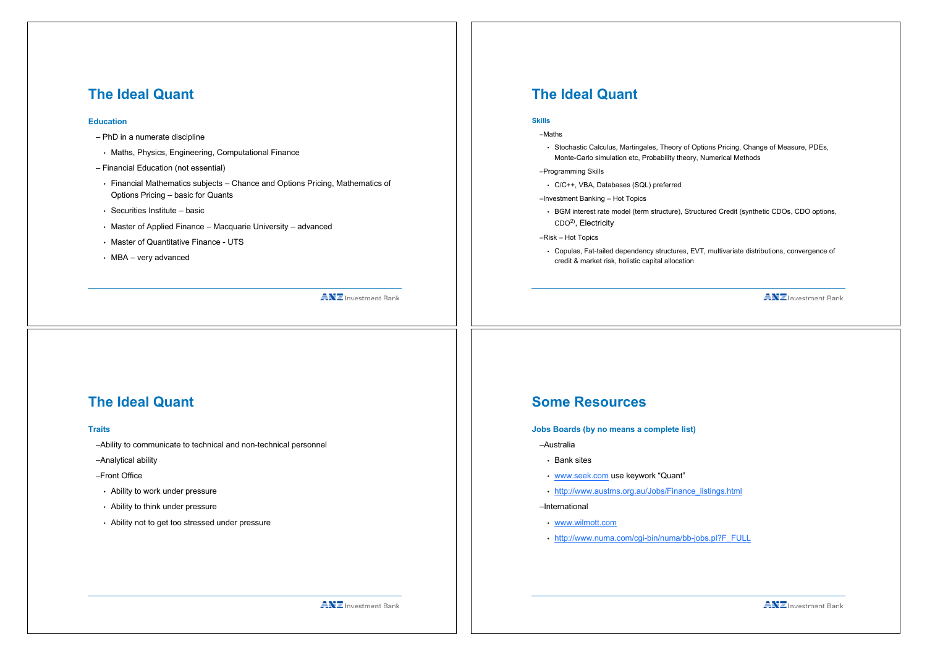# **The Ideal Quant**

#### **Education**

- PhD in a numerate discipline
- Maths, Physics, Engineering, Computational Finance
- Financial Education (not essential)
- Financial Mathematics subjects Chance and Options Pricing, Mathematics of Options Pricing – basic for Quants
- Securities Institute basic
- Master of Applied Finance Macquarie University advanced
- Master of Quantitative Finance UTS
- MBA very advanced

**ANZ** Investment Bank

# **The Ideal Quant**

#### **Skills**

#### –Maths

- Stochastic Calculus, Martingales, Theory of Options Pricing, Change of Measure, PDEs, Monte-Carlo simulation etc, Probability theory, Numerical Methods
- –Programming Skills
	- C/C++, VBA, Databases (SQL) preferred
- –Investment Banking Hot Topics
- BGM interest rate model (term structure), Structured Credit (synthetic CDOs, CDO options, CDO2), Electricity
- –Risk Hot Topics
- Copulas, Fat-tailed dependency structures, EVT, multivariate distributions, convergence of credit & market risk, holistic capital allocation

**ANZ** Investment Bank

# **The Ideal Quant**

#### **Traits**

–Ability to communicate to technical and non-technical personnel

–Analytical ability

- –Front Office
- Ability to work under pressure
- Ability to think under pressure
- Ability not to get too stressed under pressure

### **Some Resources**

#### **Jobs Boards (by no means a complete list)**

- –Australia
- Bank sites
- www.seek.com use keywork "Quant"
- http://www.austms.org.au/Jobs/Finance\_listings.html

–International

- www.wilmott.com
- http://www.numa.com/cgi-bin/numa/bb-jobs.pl?F\_FULL

**ANZ** Investment Bank